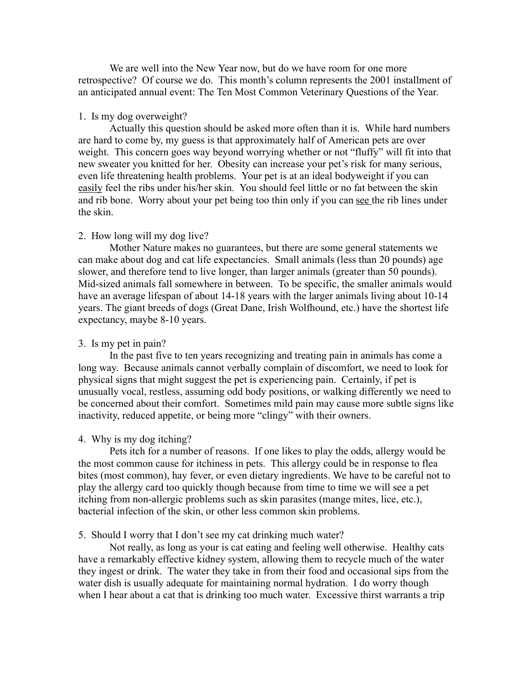We are well into the New Year now, but do we have room for one more retrospective? Of course we do. This month's column represents the 2001 installment of an anticipated annual event: The Ten Most Common Veterinary Questions of the Year.

#### 1. Is my dog overweight?

Actually this question should be asked more often than it is. While hard numbers are hard to come by, my guess is that approximately half of American pets are over weight. This concern goes way beyond worrying whether or not "fluffy" will fit into that new sweater you knitted for her. Obesity can increase your pet's risk for many serious, even life threatening health problems. Your pet is at an ideal bodyweight if you can easily feel the ribs under his/her skin. You should feel little or no fat between the skin and rib bone. Worry about your pet being too thin only if you can see the rib lines under the skin.

#### 2. How long will my dog live?

Mother Nature makes no guarantees, but there are some general statements we can make about dog and cat life expectancies. Small animals (less than 20 pounds) age slower, and therefore tend to live longer, than larger animals (greater than 50 pounds). Mid-sized animals fall somewhere in between. To be specific, the smaller animals would have an average lifespan of about 14-18 years with the larger animals living about 10-14 years. The giant breeds of dogs (Great Dane, Irish Wolfhound, etc.) have the shortest life expectancy, maybe 8-10 years.

# 3. Is my pet in pain?

In the past five to ten years recognizing and treating pain in animals has come a long way. Because animals cannot verbally complain of discomfort, we need to look for physical signs that might suggest the pet is experiencing pain. Certainly, if pet is unusually vocal, restless, assuming odd body positions, or walking differently we need to be concerned about their comfort. Sometimes mild pain may cause more subtle signs like inactivity, reduced appetite, or being more "clingy" with their owners.

#### 4. Why is my dog itching?

Pets itch for a number of reasons. If one likes to play the odds, allergy would be the most common cause for itchiness in pets. This allergy could be in response to flea bites (most common), hay fever, or even dietary ingredients. We have to be careful not to play the allergy card too quickly though because from time to time we will see a pet itching from non-allergic problems such as skin parasites (mange mites, lice, etc.), bacterial infection of the skin, or other less common skin problems.

#### 5. Should I worry that I don't see my cat drinking much water?

Not really, as long as your is cat eating and feeling well otherwise. Healthy cats have a remarkably effective kidney system, allowing them to recycle much of the water they ingest or drink. The water they take in from their food and occasional sips from the water dish is usually adequate for maintaining normal hydration. I do worry though when I hear about a cat that is drinking too much water. Excessive thirst warrants a trip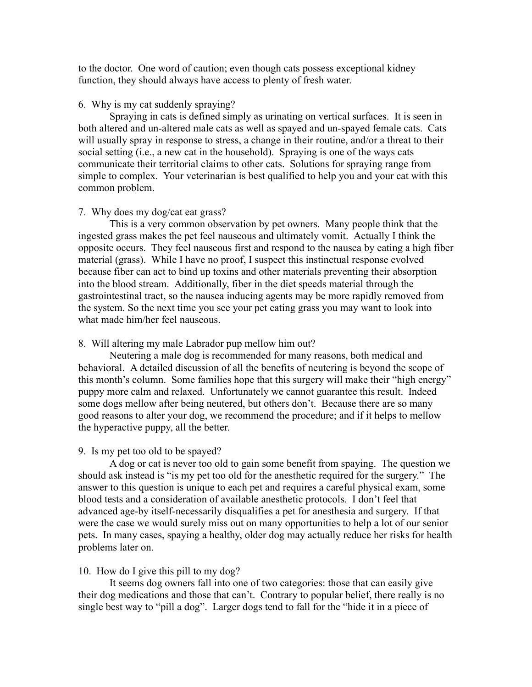to the doctor. One word of caution; even though cats possess exceptional kidney function, they should always have access to plenty of fresh water.

## 6. Why is my cat suddenly spraying?

Spraying in cats is defined simply as urinating on vertical surfaces. It is seen in both altered and un-altered male cats as well as spayed and un-spayed female cats. Cats will usually spray in response to stress, a change in their routine, and/or a threat to their social setting (i.e., a new cat in the household). Spraying is one of the ways cats communicate their territorial claims to other cats. Solutions for spraying range from simple to complex. Your veterinarian is best qualified to help you and your cat with this common problem.

## 7. Why does my dog/cat eat grass?

This is a very common observation by pet owners. Many people think that the ingested grass makes the pet feel nauseous and ultimately vomit. Actually I think the opposite occurs. They feel nauseous first and respond to the nausea by eating a high fiber material (grass). While I have no proof, I suspect this instinctual response evolved because fiber can act to bind up toxins and other materials preventing their absorption into the blood stream. Additionally, fiber in the diet speeds material through the gastrointestinal tract, so the nausea inducing agents may be more rapidly removed from the system. So the next time you see your pet eating grass you may want to look into what made him/her feel nauseous.

#### 8. Will altering my male Labrador pup mellow him out?

Neutering a male dog is recommended for many reasons, both medical and behavioral. A detailed discussion of all the benefits of neutering is beyond the scope of this month's column. Some families hope that this surgery will make their "high energy" puppy more calm and relaxed. Unfortunately we cannot guarantee this result. Indeed some dogs mellow after being neutered, but others don't. Because there are so many good reasons to alter your dog, we recommend the procedure; and if it helps to mellow the hyperactive puppy, all the better.

## 9. Is my pet too old to be spayed?

A dog or cat is never too old to gain some benefit from spaying. The question we should ask instead is "is my pet too old for the anesthetic required for the surgery." The answer to this question is unique to each pet and requires a careful physical exam, some blood tests and a consideration of available anesthetic protocols. I don't feel that advanced age-by itself-necessarily disqualifies a pet for anesthesia and surgery. If that were the case we would surely miss out on many opportunities to help a lot of our senior pets. In many cases, spaying a healthy, older dog may actually reduce her risks for health problems later on.

## 10. How do I give this pill to my dog?

It seems dog owners fall into one of two categories: those that can easily give their dog medications and those that can't. Contrary to popular belief, there really is no single best way to "pill a dog". Larger dogs tend to fall for the "hide it in a piece of